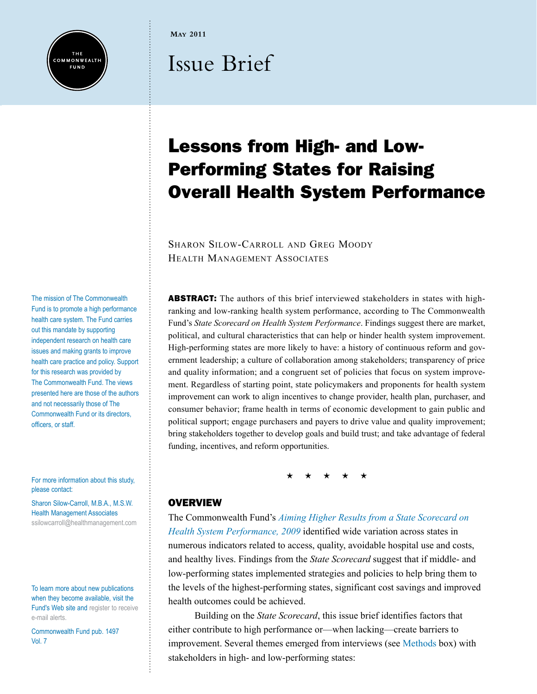

**May 2011**

# Issue Brief

## Lessons from High- and Low-Performing States for Raising Overall Health System Performance

SHARON SILOW-CARROLL AND GREG MOODY Health Management Associates

ABSTRACT: The authors of this brief interviewed stakeholders in states with highranking and low-ranking health system performance, according to The Commonwealth Fund's *State Scorecard on Health System Performance*. Findings suggest there are market, political, and cultural characteristics that can help or hinder health system improvement. High-performing states are more likely to have: a history of continuous reform and government leadership; a culture of collaboration among stakeholders; transparency of price and quality information; and a congruent set of policies that focus on system improvement. Regardless of starting point, state policymakers and proponents for health system improvement can work to align incentives to change provider, health plan, purchaser, and consumer behavior; frame health in terms of economic development to gain public and political support; engage purchasers and payers to drive value and quality improvement; bring stakeholders together to develop goals and build trust; and take advantage of federal funding, incentives, and reform opportunities.

\* \* \* \* \*

#### **OVERVIEW**

The Commonwealth Fund's *[Aiming Higher Results from a State Scorecard on](http://www.commonwealthfund.org/Content/Publications/Fund-Reports/2009/Oct/2009-State-Scorecard.aspx?page=all)  [Health System Performance, 2009](http://www.commonwealthfund.org/Content/Publications/Fund-Reports/2009/Oct/2009-State-Scorecard.aspx?page=all)* identified wide variation across states in numerous indicators related to access, quality, avoidable hospital use and costs, and healthy lives. Findings from the *State Scorecard* suggest that if middle- and low-performing states implemented strategies and policies to help bring them to the levels of the highest-performing states, significant cost savings and improved health outcomes could be achieved.

Building on the *State Scorecard*, this issue brief identifies factors that either contribute to high performance or—when lacking—create barriers to improvement. Several themes emerged from interviews (see [Methods](#page-1-0) box) with stakeholders in high- and low-performing states:

The mission of The Commonwealth Fund is to promote a high performance health care system. The Fund carries out this mandate by supporting independent research on health care issues and making grants to improve health care practice and policy. Support for this research was provided by The Commonwealth Fund. The views presented here are those of the authors and not necessarily those of The Commonwealth Fund or its directors, officers, or staff.

For more information about this study, please contact:

Sharon Silow-Carroll, M.B.A., M.S.W. Health Management Associates [ssilowcarroll@healthmanagement.com](mailto:ssilowcarroll@healthmanagement.com)

To learn more about new publications when they become available, visit the Fund's Web site and [register to receive](http://www.commonwealthfund.org/myprofile/myprofile_edit.htm)  [e-mail alerts](http://www.commonwealthfund.org/myprofile/myprofile_edit.htm).

Commonwealth Fund pub. 1497 Vol. 7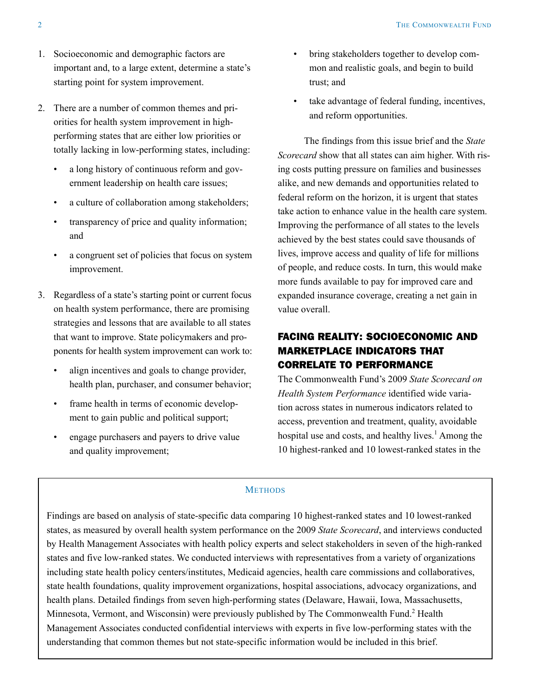- <span id="page-1-0"></span>1. Socioeconomic and demographic factors are important and, to a large extent, determine a state's starting point for system improvement.
- 2. There are a number of common themes and priorities for health system improvement in highperforming states that are either low priorities or totally lacking in low-performing states, including:
	- a long history of continuous reform and government leadership on health care issues;
	- • a culture of collaboration among stakeholders;
	- transparency of price and quality information; and
	- a congruent set of policies that focus on system improvement.
- 3. Regardless of a state's starting point or current focus on health system performance, there are promising strategies and lessons that are available to all states that want to improve. State policymakers and proponents for health system improvement can work to:
	- align incentives and goals to change provider, health plan, purchaser, and consumer behavior;
	- • frame health in terms of economic development to gain public and political support;
	- • engage purchasers and payers to drive value and quality improvement;
- bring stakeholders together to develop common and realistic goals, and begin to build trust; and
- • take advantage of federal funding, incentives, and reform opportunities.

The findings from this issue brief and the *State Scorecard* show that all states can aim higher. With rising costs putting pressure on families and businesses alike, and new demands and opportunities related to federal reform on the horizon, it is urgent that states take action to enhance value in the health care system. Improving the performance of all states to the levels achieved by the best states could save thousands of lives, improve access and quality of life for millions of people, and reduce costs. In turn, this would make more funds available to pay for improved care and expanded insurance coverage, creating a net gain in value overall.

## FACING REALITY: SOCIOECONOMIC AND MARKETPLACE INDICATORS THAT CORRELATE TO PERFORMANCE

The Commonwealth Fund's 2009 *State Scorecard on Health System Performance* identified wide variation across states in numerous indicators related to access, prevention and treatment, quality, avoidable hospital use and costs, and healthy lives.<sup>1</sup> Among the 10 highest-ranked and 10 lowest-ranked states in the

#### **METHODS**

Findings are based on analysis of state-specific data comparing 10 highest-ranked states and 10 lowest-ranked states, as measured by overall health system performance on the 2009 *State Scorecard*, and interviews conducted by Health Management Associates with health policy experts and select stakeholders in seven of the high-ranked states and five low-ranked states. We conducted interviews with representatives from a variety of organizations including state health policy centers/institutes, Medicaid agencies, health care commissions and collaboratives, state health foundations, quality improvement organizations, hospital associations, advocacy organizations, and health plans. Detailed findings from seven high-performing states (Delaware, Hawaii, Iowa, Massachusetts, Minnesota, Vermont, and Wisconsin) were previously published by The Commonwealth Fund.<sup>2</sup> Health Management Associates conducted confidential interviews with experts in five low-performing states with the understanding that common themes but not state-specific information would be included in this brief.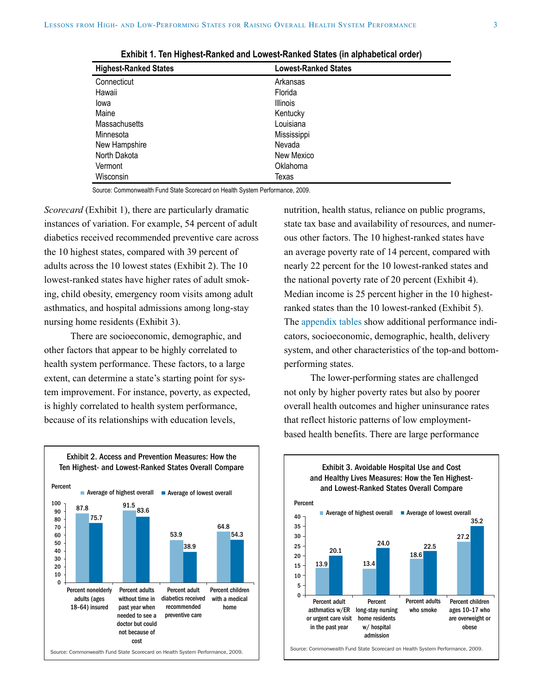| <b>Highest-Ranked States</b> | <b>Lowest-Ranked States</b> |
|------------------------------|-----------------------------|
| Connecticut                  | Arkansas                    |
| Hawaii                       | Florida                     |
| lowa                         | <b>Illinois</b>             |
| Maine                        | Kentucky                    |
| <b>Massachusetts</b>         | Louisiana                   |
| Minnesota                    | Mississippi                 |
| New Hampshire                | Nevada                      |
| North Dakota                 | New Mexico                  |
| Vermont                      | Oklahoma                    |
| Wisconsin                    | Texas                       |

**Exhibit 1. Ten Highest-Ranked and Lowest-Ranked States (in alphabetical order)**

Source: Commonwealth Fund State Scorecard on Health System Performance, 2009.

*Scorecard* (Exhibit 1), there are particularly dramatic instances of variation. For example, 54 percent of adult diabetics received recommended preventive care across the 10 highest states, compared with 39 percent of adults across the 10 lowest states (Exhibit 2). The 10 lowest-ranked states have higher rates of adult smoking, child obesity, emergency room visits among adult asthmatics, and hospital admissions among long-stay nursing home residents (Exhibit 3).

There are socioeconomic, demographic, and other factors that appear to be highly correlated to health system performance. These factors, to a large extent, can determine a state's starting point for system improvement. For instance, poverty, as expected, is highly correlated to health system performance, because of its relationships with education levels,

nutrition, health status, reliance on public programs, state tax base and availability of resources, and numerous other factors. The 10 highest-ranked states have an average poverty rate of 14 percent, compared with nearly 22 percent for the 10 lowest-ranked states and the national poverty rate of 20 percent (Exhibit 4). Median income is 25 percent higher in the 10 highestranked states than the 10 lowest-ranked (Exhibit 5). The [appendix tables](http://www.commonwealthfund.org/~/media/Files/Publications/Case%20Study/2011/May/SilowCarroll_lessons_from_highlow_states_appendix_tables.pdf) show additional performance indicators, socioeconomic, demographic, health, delivery system, and other characteristics of the top-and bottomperforming states.

The lower-performing states are challenged not only by higher poverty rates but also by poorer overall health outcomes and higher uninsurance rates that reflect historic patterns of low employmentbased health benefits. There are large performance





Source: Commonwealth Fund State Scorecard on Health System Performance, 2009.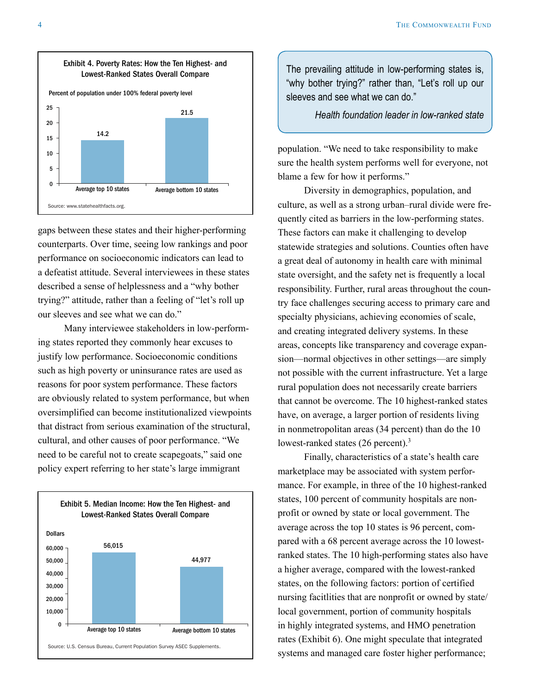

gaps between these states and their higher-performing counterparts. Over time, seeing low rankings and poor performance on socioeconomic indicators can lead to a defeatist attitude. Several interviewees in these states described a sense of helplessness and a "why bother trying?" attitude, rather than a feeling of "let's roll up our sleeves and see what we can do."

Many interviewee stakeholders in low-performing states reported they commonly hear excuses to justify low performance. Socioeconomic conditions such as high poverty or uninsurance rates are used as reasons for poor system performance. These factors are obviously related to system performance, but when oversimplified can become institutionalized viewpoints that distract from serious examination of the structural, cultural, and other causes of poor performance. "We need to be careful not to create scapegoats," said one policy expert referring to her state's large immigrant



The prevailing attitude in low-performing states is, "why bother trying?" rather than, "Let's roll up our sleeves and see what we can do."

*Health foundation leader in low-ranked state*

population. "We need to take responsibility to make sure the health system performs well for everyone, not blame a few for how it performs."

Diversity in demographics, population, and culture, as well as a strong urban–rural divide were frequently cited as barriers in the low-performing states. These factors can make it challenging to develop statewide strategies and solutions. Counties often have a great deal of autonomy in health care with minimal state oversight, and the safety net is frequently a local responsibility. Further, rural areas throughout the country face challenges securing access to primary care and specialty physicians, achieving economies of scale, and creating integrated delivery systems. In these areas, concepts like transparency and coverage expansion—normal objectives in other settings—are simply not possible with the current infrastructure. Yet a large rural population does not necessarily create barriers that cannot be overcome. The 10 highest-ranked states have, on average, a larger portion of residents living in nonmetropolitan areas (34 percent) than do the 10 lowest-ranked states (26 percent).<sup>3</sup>

Finally, characteristics of a state's health care marketplace may be associated with system performance. For example, in three of the 10 highest-ranked states, 100 percent of community hospitals are nonprofit or owned by state or local government. The average across the top 10 states is 96 percent, compared with a 68 percent average across the 10 lowestranked states. The 10 high-performing states also have a higher average, compared with the lowest-ranked states, on the following factors: portion of certified nursing facitlities that are nonprofit or owned by state/ local government, portion of community hospitals in highly integrated systems, and HMO penetration rates (Exhibit 6). One might speculate that integrated systems and managed care foster higher performance;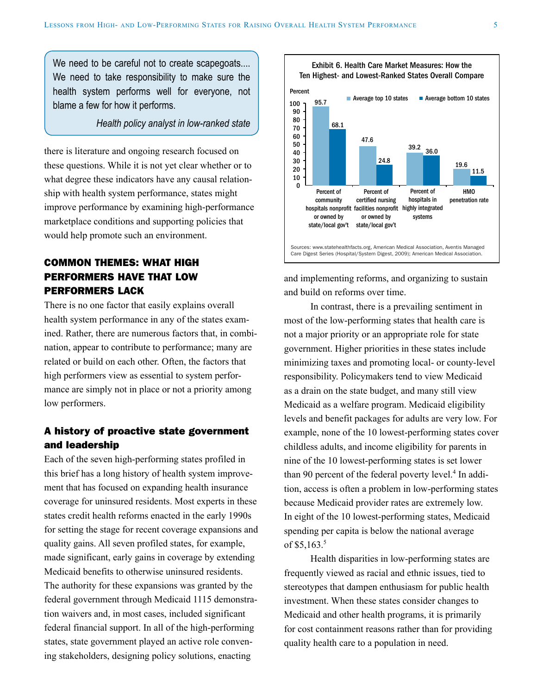We need to be careful not to create scapegoats.... We need to take responsibility to make sure the health system performs well for everyone, not blame a few for how it performs.

*Health policy analyst in low-ranked state*

there is literature and ongoing research focused on these questions. While it is not yet clear whether or to what degree these indicators have any causal relationship with health system performance, states might improve performance by examining high-performance marketplace conditions and supporting policies that would help promote such an environment.

## COMMON THEMES: WHAT HIGH PERFORMERS HAVE THAT LOW PERFORMERS LACK

There is no one factor that easily explains overall health system performance in any of the states examined. Rather, there are numerous factors that, in combination, appear to contribute to performance; many are related or build on each other. Often, the factors that high performers view as essential to system performance are simply not in place or not a priority among low performers.

#### A history of proactive state government and leadership

Each of the seven high-performing states profiled in this brief has a long history of health system improvement that has focused on expanding health insurance coverage for uninsured residents. Most experts in these states credit health reforms enacted in the early 1990s for setting the stage for recent coverage expansions and quality gains. All seven profiled states, for example, made significant, early gains in coverage by extending Medicaid benefits to otherwise uninsured residents. The authority for these expansions was granted by the federal government through Medicaid 1115 demonstration waivers and, in most cases, included significant federal financial support. In all of the high-performing states, state government played an active role convening stakeholders, designing policy solutions, enacting



and implementing reforms, and organizing to sustain and build on reforms over time.

In contrast, there is a prevailing sentiment in most of the low-performing states that health care is not a major priority or an appropriate role for state government. Higher priorities in these states include minimizing taxes and promoting local- or county-level responsibility. Policymakers tend to view Medicaid as a drain on the state budget, and many still view Medicaid as a welfare program. Medicaid eligibility levels and benefit packages for adults are very low. For example, none of the 10 lowest-performing states cover childless adults, and income eligibility for parents in nine of the 10 lowest-performing states is set lower than 90 percent of the federal poverty level.<sup>4</sup> In addition, access is often a problem in low-performing states because Medicaid provider rates are extremely low. In eight of the 10 lowest-performing states, Medicaid spending per capita is below the national average of  $$5,163.<sup>5</sup>$ 

Health disparities in low-performing states are frequently viewed as racial and ethnic issues, tied to stereotypes that dampen enthusiasm for public health investment. When these states consider changes to Medicaid and other health programs, it is primarily for cost containment reasons rather than for providing quality health care to a population in need.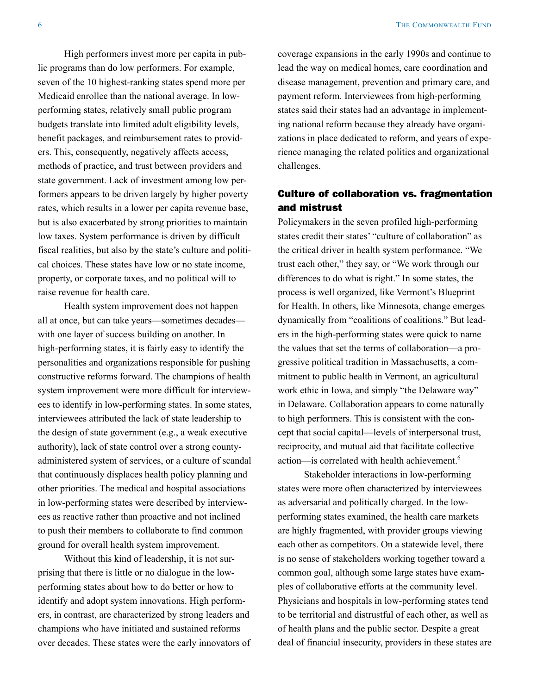High performers invest more per capita in public programs than do low performers. For example, seven of the 10 highest-ranking states spend more per Medicaid enrollee than the national average. In lowperforming states, relatively small public program budgets translate into limited adult eligibility levels, benefit packages, and reimbursement rates to providers. This, consequently, negatively affects access, methods of practice, and trust between providers and state government. Lack of investment among low performers appears to be driven largely by higher poverty rates, which results in a lower per capita revenue base, but is also exacerbated by strong priorities to maintain low taxes. System performance is driven by difficult fiscal realities, but also by the state's culture and political choices. These states have low or no state income, property, or corporate taxes, and no political will to raise revenue for health care.

Health system improvement does not happen all at once, but can take years—sometimes decades with one layer of success building on another. In high-performing states, it is fairly easy to identify the personalities and organizations responsible for pushing constructive reforms forward. The champions of health system improvement were more difficult for interviewees to identify in low-performing states. In some states, interviewees attributed the lack of state leadership to the design of state government (e.g., a weak executive authority), lack of state control over a strong countyadministered system of services, or a culture of scandal that continuously displaces health policy planning and other priorities. The medical and hospital associations in low-performing states were described by interviewees as reactive rather than proactive and not inclined to push their members to collaborate to find common ground for overall health system improvement.

Without this kind of leadership, it is not surprising that there is little or no dialogue in the lowperforming states about how to do better or how to identify and adopt system innovations. High performers, in contrast, are characterized by strong leaders and champions who have initiated and sustained reforms over decades. These states were the early innovators of coverage expansions in the early 1990s and continue to lead the way on medical homes, care coordination and disease management, prevention and primary care, and payment reform. Interviewees from high-performing states said their states had an advantage in implementing national reform because they already have organizations in place dedicated to reform, and years of experience managing the related politics and organizational challenges.

#### Culture of collaboration vs. fragmentation and mistrust

Policymakers in the seven profiled high-performing states credit their states' "culture of collaboration" as the critical driver in health system performance. "We trust each other," they say, or "We work through our differences to do what is right." In some states, the process is well organized, like Vermont's Blueprint for Health. In others, like Minnesota, change emerges dynamically from "coalitions of coalitions." But leaders in the high-performing states were quick to name the values that set the terms of collaboration—a progressive political tradition in Massachusetts, a commitment to public health in Vermont, an agricultural work ethic in Iowa, and simply "the Delaware way" in Delaware. Collaboration appears to come naturally to high performers. This is consistent with the concept that social capital—levels of interpersonal trust, reciprocity, and mutual aid that facilitate collective action—is correlated with health achievement.<sup>6</sup>

Stakeholder interactions in low-performing states were more often characterized by interviewees as adversarial and politically charged. In the lowperforming states examined, the health care markets are highly fragmented, with provider groups viewing each other as competitors. On a statewide level, there is no sense of stakeholders working together toward a common goal, although some large states have examples of collaborative efforts at the community level. Physicians and hospitals in low-performing states tend to be territorial and distrustful of each other, as well as of health plans and the public sector. Despite a great deal of financial insecurity, providers in these states are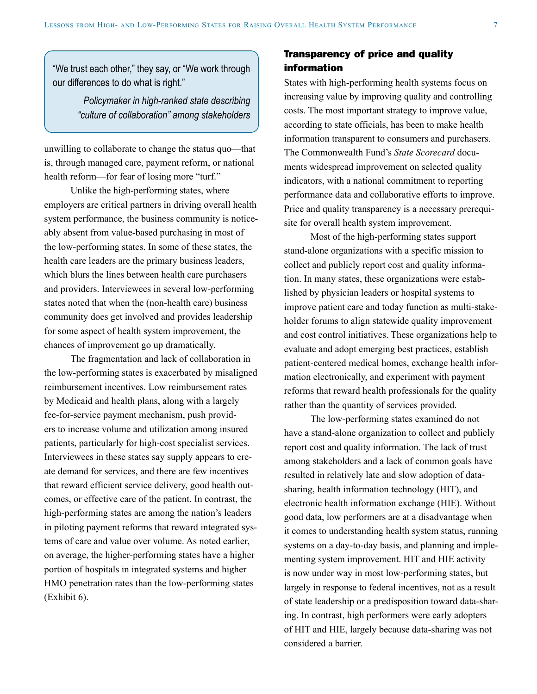"We trust each other," they say, or "We work through our differences to do what is right."

> *Policymaker in high-ranked state describing "culture of collaboration" among stakeholders*

unwilling to collaborate to change the status quo—that is, through managed care, payment reform, or national health reform—for fear of losing more "turf."

Unlike the high-performing states, where employers are critical partners in driving overall health system performance, the business community is noticeably absent from value-based purchasing in most of the low-performing states. In some of these states, the health care leaders are the primary business leaders, which blurs the lines between health care purchasers and providers. Interviewees in several low-performing states noted that when the (non-health care) business community does get involved and provides leadership for some aspect of health system improvement, the chances of improvement go up dramatically.

The fragmentation and lack of collaboration in the low-performing states is exacerbated by misaligned reimbursement incentives. Low reimbursement rates by Medicaid and health plans, along with a largely fee-for-service payment mechanism, push providers to increase volume and utilization among insured patients, particularly for high-cost specialist services. Interviewees in these states say supply appears to create demand for services, and there are few incentives that reward efficient service delivery, good health outcomes, or effective care of the patient. In contrast, the high-performing states are among the nation's leaders in piloting payment reforms that reward integrated systems of care and value over volume. As noted earlier, on average, the higher-performing states have a higher portion of hospitals in integrated systems and higher HMO penetration rates than the low-performing states (Exhibit 6).

#### Transparency of price and quality information

States with high-performing health systems focus on increasing value by improving quality and controlling costs. The most important strategy to improve value, according to state officials, has been to make health information transparent to consumers and purchasers. The Commonwealth Fund's *State Scorecard* documents widespread improvement on selected quality indicators, with a national commitment to reporting performance data and collaborative efforts to improve. Price and quality transparency is a necessary prerequisite for overall health system improvement.

Most of the high-performing states support stand-alone organizations with a specific mission to collect and publicly report cost and quality information. In many states, these organizations were established by physician leaders or hospital systems to improve patient care and today function as multi-stakeholder forums to align statewide quality improvement and cost control initiatives. These organizations help to evaluate and adopt emerging best practices, establish patient-centered medical homes, exchange health information electronically, and experiment with payment reforms that reward health professionals for the quality rather than the quantity of services provided.

The low-performing states examined do not have a stand-alone organization to collect and publicly report cost and quality information. The lack of trust among stakeholders and a lack of common goals have resulted in relatively late and slow adoption of datasharing, health information technology (HIT), and electronic health information exchange (HIE). Without good data, low performers are at a disadvantage when it comes to understanding health system status, running systems on a day-to-day basis, and planning and implementing system improvement. HIT and HIE activity is now under way in most low-performing states, but largely in response to federal incentives, not as a result of state leadership or a predisposition toward data-sharing. In contrast, high performers were early adopters of HIT and HIE, largely because data-sharing was not considered a barrier.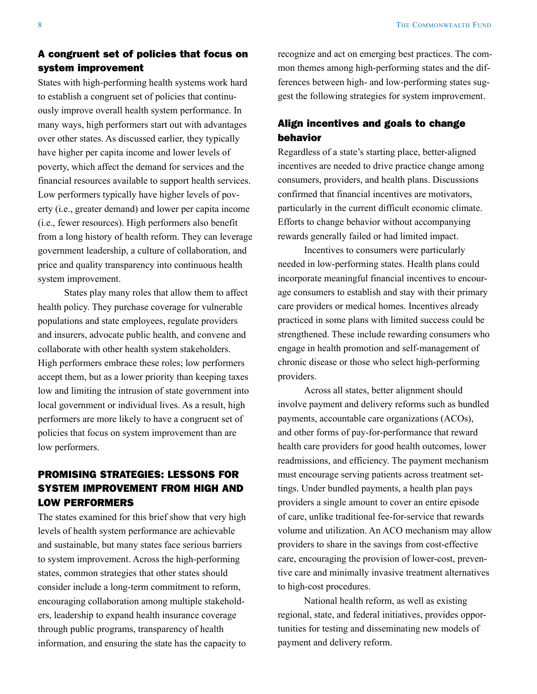#### A congruent set of policies that focus on system improvement

States with high-performing health systems work hard to establish a congruent set of policies that continuously improve overall health system performance. In many ways, high performers start out with advantages over other states. As discussed earlier, they typically have higher per capita income and lower levels of poverty, which affect the demand for services and the financial resources available to support health services. Low performers typically have higher levels of poverty (i.e., greater demand) and lower per capita income (i.e., fewer resources). High performers also benefit from a long history of health reform. They can leverage government leadership, a culture of collaboration, and price and quality transparency into continuous health system improvement.

States play many roles that allow them to affect health policy. They purchase coverage for vulnerable populations and state employees, regulate providers and insurers, advocate public health, and convene and collaborate with other health system stakeholders. High performers embrace these roles; low performers accept them, but as a lower priority than keeping taxes low and limiting the intrusion of state government into local government or individual lives. As a result, high performers are more likely to have a congruent set of policies that focus on system improvement than are low performers.

## PROMISING STRATEGIES: LESSONS FOR SYSTEM IMPROVEMENT FROM HIGH AND LOW PERFORMERS

The states examined for this brief show that very high levels of health system performance are achievable and sustainable, but many states face serious barriers to system improvement. Across the high-performing states, common strategies that other states should consider include a long-term commitment to reform, encouraging collaboration among multiple stakeholders, leadership to expand health insurance coverage through public programs, transparency of health information, and ensuring the state has the capacity to recognize and act on emerging best practices. The common themes among high-performing states and the differences between high- and low-performing states suggest the following strategies for system improvement.

### Align incentives and goals to change behavior

Regardless of a state's starting place, better-aligned incentives are needed to drive practice change among consumers, providers, and health plans. Discussions confirmed that financial incentives are motivators, particularly in the current difficult economic climate. Efforts to change behavior without accompanying rewards generally failed or had limited impact.

Incentives to consumers were particularly needed in low-performing states. Health plans could incorporate meaningful financial incentives to encourage consumers to establish and stay with their primary care providers or medical homes. Incentives already practiced in some plans with limited success could be strengthened. These include rewarding consumers who engage in health promotion and self-management of chronic disease or those who select high-performing providers.

Across all states, better alignment should involve payment and delivery reforms such as bundled payments, accountable care organizations (ACOs), and other forms of pay-for-performance that reward health care providers for good health outcomes, lower readmissions, and efficiency. The payment mechanism must encourage serving patients across treatment settings. Under bundled payments, a health plan pays providers a single amount to cover an entire episode of care, unlike traditional fee-for-service that rewards volume and utilization. An ACO mechanism may allow providers to share in the savings from cost-effective care, encouraging the provision of lower-cost, preventive care and minimally invasive treatment alternatives to high-cost procedures.

National health reform, as well as existing regional, state, and federal initiatives, provides opportunities for testing and disseminating new models of payment and delivery reform.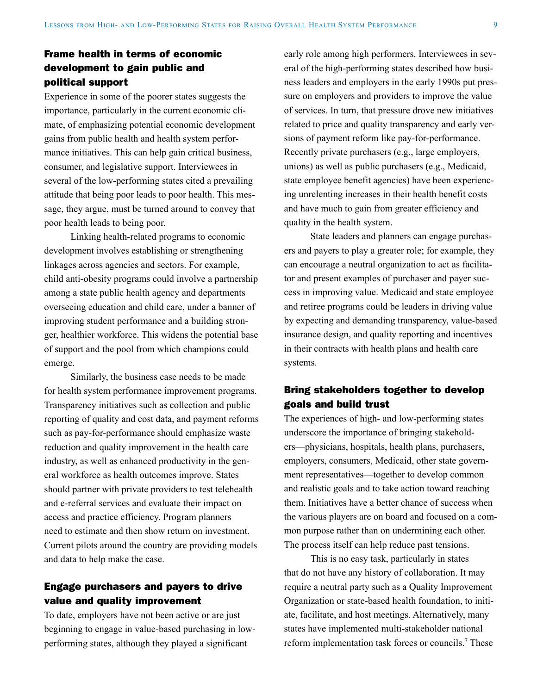## Frame health in terms of economic development to gain public and political support

Experience in some of the poorer states suggests the importance, particularly in the current economic climate, of emphasizing potential economic development gains from public health and health system performance initiatives. This can help gain critical business, consumer, and legislative support. Interviewees in several of the low-performing states cited a prevailing attitude that being poor leads to poor health. This message, they argue, must be turned around to convey that poor health leads to being poor.

Linking health-related programs to economic development involves establishing or strengthening linkages across agencies and sectors. For example, child anti-obesity programs could involve a partnership among a state public health agency and departments overseeing education and child care, under a banner of improving student performance and a building stronger, healthier workforce. This widens the potential base of support and the pool from which champions could emerge.

Similarly, the business case needs to be made for health system performance improvement programs. Transparency initiatives such as collection and public reporting of quality and cost data, and payment reforms such as pay-for-performance should emphasize waste reduction and quality improvement in the health care industry, as well as enhanced productivity in the general workforce as health outcomes improve. States should partner with private providers to test telehealth and e-referral services and evaluate their impact on access and practice efficiency. Program planners need to estimate and then show return on investment. Current pilots around the country are providing models and data to help make the case.

#### Engage purchasers and payers to drive value and quality improvement

To date, employers have not been active or are just beginning to engage in value-based purchasing in lowperforming states, although they played a significant

early role among high performers. Interviewees in several of the high-performing states described how business leaders and employers in the early 1990s put pressure on employers and providers to improve the value of services. In turn, that pressure drove new initiatives related to price and quality transparency and early versions of payment reform like pay-for-performance. Recently private purchasers (e.g., large employers, unions) as well as public purchasers (e.g., Medicaid, state employee benefit agencies) have been experiencing unrelenting increases in their health benefit costs and have much to gain from greater efficiency and quality in the health system.

State leaders and planners can engage purchasers and payers to play a greater role; for example, they can encourage a neutral organization to act as facilitator and present examples of purchaser and payer success in improving value. Medicaid and state employee and retiree programs could be leaders in driving value by expecting and demanding transparency, value-based insurance design, and quality reporting and incentives in their contracts with health plans and health care systems.

#### Bring stakeholders together to develop goals and build trust

The experiences of high- and low-performing states underscore the importance of bringing stakeholders—physicians, hospitals, health plans, purchasers, employers, consumers, Medicaid, other state government representatives—together to develop common and realistic goals and to take action toward reaching them. Initiatives have a better chance of success when the various players are on board and focused on a common purpose rather than on undermining each other. The process itself can help reduce past tensions.

This is no easy task, particularly in states that do not have any history of collaboration. It may require a neutral party such as a Quality Improvement Organization or state-based health foundation, to initiate, facilitate, and host meetings. Alternatively, many states have implemented multi-stakeholder national reform implementation task forces or councils.<sup>7</sup> These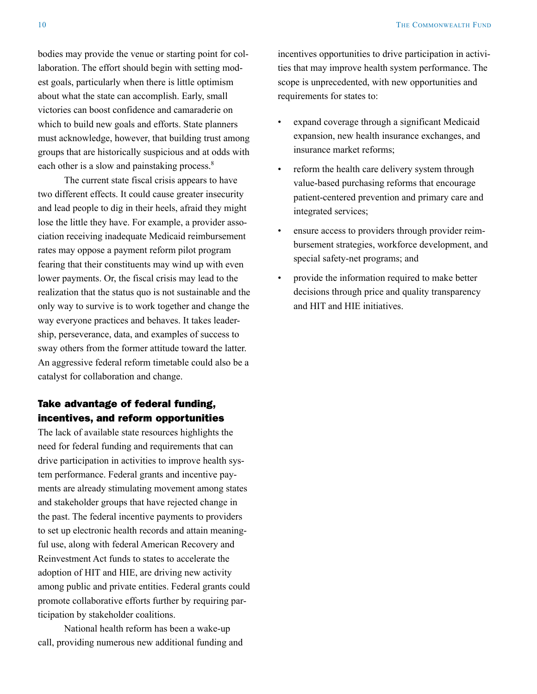bodies may provide the venue or starting point for collaboration. The effort should begin with setting modest goals, particularly when there is little optimism about what the state can accomplish. Early, small victories can boost confidence and camaraderie on which to build new goals and efforts. State planners must acknowledge, however, that building trust among groups that are historically suspicious and at odds with each other is a slow and painstaking process.<sup>8</sup>

The current state fiscal crisis appears to have two different effects. It could cause greater insecurity and lead people to dig in their heels, afraid they might lose the little they have. For example, a provider association receiving inadequate Medicaid reimbursement rates may oppose a payment reform pilot program fearing that their constituents may wind up with even lower payments. Or, the fiscal crisis may lead to the realization that the status quo is not sustainable and the only way to survive is to work together and change the way everyone practices and behaves. It takes leadership, perseverance, data, and examples of success to sway others from the former attitude toward the latter. An aggressive federal reform timetable could also be a catalyst for collaboration and change.

#### Take advantage of federal funding, incentives, and reform opportunities

The lack of available state resources highlights the need for federal funding and requirements that can drive participation in activities to improve health system performance. Federal grants and incentive payments are already stimulating movement among states and stakeholder groups that have rejected change in the past. The federal incentive payments to providers to set up electronic health records and attain meaningful use, along with federal American Recovery and Reinvestment Act funds to states to accelerate the adoption of HIT and HIE, are driving new activity among public and private entities. Federal grants could promote collaborative efforts further by requiring participation by stakeholder coalitions.

National health reform has been a wake-up call, providing numerous new additional funding and incentives opportunities to drive participation in activities that may improve health system performance. The scope is unprecedented, with new opportunities and requirements for states to:

- expand coverage through a significant Medicaid expansion, new health insurance exchanges, and insurance market reforms;
- reform the health care delivery system through value-based purchasing reforms that encourage patient-centered prevention and primary care and integrated services;
- ensure access to providers through provider reimbursement strategies, workforce development, and special safety-net programs; and
- provide the information required to make better decisions through price and quality transparency and HIT and HIE initiatives.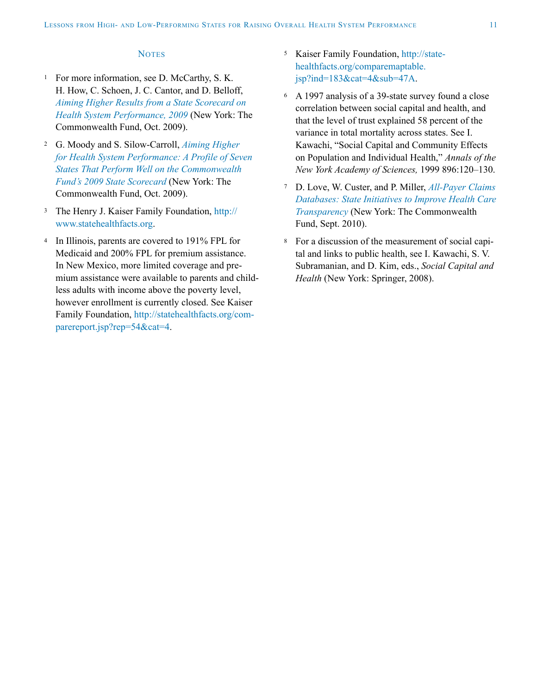#### **NOTES**

- <sup>1</sup> For more information, see D. McCarthy, S. K. H. How, C. Schoen, J. C. Cantor, and D. Belloff, *[Aiming Higher Results from a State Scorecard on](http://www.commonwealthfund.org/Content/Publications/Fund-Reports/2009/Oct/2009-State-Scorecard.aspx?page=all)  [Health System Performance, 2009](http://www.commonwealthfund.org/Content/Publications/Fund-Reports/2009/Oct/2009-State-Scorecard.aspx?page=all)* (New York: The Commonwealth Fund, Oct. 2009).
- <sup>2</sup> G. Moody and S. Silow-Carroll, *[Aiming Higher](http://www.commonwealthfund.org/Content/Publications/Fund-Reports/2009/Oct/A-Profile-of-Seven-States.aspx)  [for Health System Performance: A Profile of Seven](http://www.commonwealthfund.org/Content/Publications/Fund-Reports/2009/Oct/A-Profile-of-Seven-States.aspx)  [States That Perform Well on the Commonwealth](http://www.commonwealthfund.org/Content/Publications/Fund-Reports/2009/Oct/A-Profile-of-Seven-States.aspx)  [Fund's 2009 State Scorecard](http://www.commonwealthfund.org/Content/Publications/Fund-Reports/2009/Oct/A-Profile-of-Seven-States.aspx)* (New York: The Commonwealth Fund, Oct. 2009).
- <sup>3</sup> The Henry J. Kaiser Family Foundation, [http://](http://www.statehealthfacts.org) [www.statehealthfacts.org](http://www.statehealthfacts.org).
- <sup>4</sup> In Illinois, parents are covered to 191% FPL for Medicaid and 200% FPL for premium assistance. In New Mexico, more limited coverage and premium assistance were available to parents and childless adults with income above the poverty level, however enrollment is currently closed. See Kaiser Family Foundation, [http://statehealthfacts.org/com](http://statehealthfacts.org/comparereport.jsp?rep=54&cat=4)[parereport.jsp?rep=54&cat=4](http://statehealthfacts.org/comparereport.jsp?rep=54&cat=4).
- <sup>5</sup> Kaiser Family Foundation, [http://state](http://statehealthfacts.org/comparemaptable.jsp?ind=183&cat=4&sub=47A)[healthfacts.org/comparemaptable.](http://statehealthfacts.org/comparemaptable.jsp?ind=183&cat=4&sub=47A)  $isp?ind=183&cat=4⊂=47A$ .
- <sup>6</sup> A 1997 analysis of a 39-state survey found a close correlation between social capital and health, and that the level of trust explained 58 percent of the variance in total mortality across states. See I. Kawachi, "Social Capital and Community Effects on Population and Individual Health," *Annals of the New York Academy of Sciences,* 1999 896:120–130.
- <sup>7</sup> D. Love, W. Custer, and P. Miller, *[All-Payer Claims](http://www.commonwealthfund.org/Content/Publications/Issue-Briefs/2010/Sep/All-Payer-Claims-Databases.aspx)  [Databases: State Initiatives to Improve Health Care](http://www.commonwealthfund.org/Content/Publications/Issue-Briefs/2010/Sep/All-Payer-Claims-Databases.aspx)  [Transparency](http://www.commonwealthfund.org/Content/Publications/Issue-Briefs/2010/Sep/All-Payer-Claims-Databases.aspx)* (New York: The Commonwealth Fund, Sept. 2010).
- <sup>8</sup> For a discussion of the measurement of social capital and links to public health, see I. Kawachi, S. V. Subramanian, and D. Kim, eds., *Social Capital and Health* (New York: Springer, 2008).